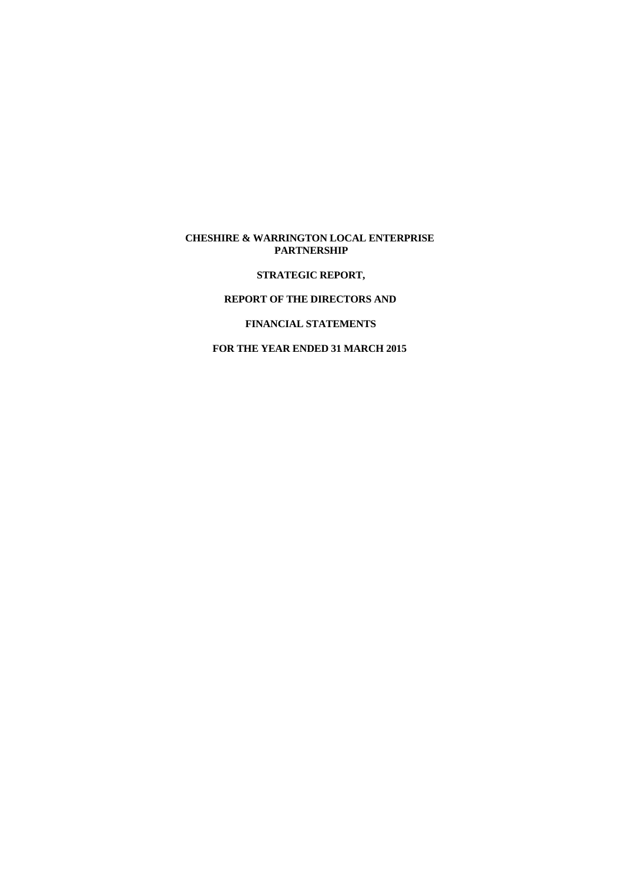### **CHESHIRE & WARRINGTON LOCAL ENTERPRISE PARTNERSHIP**

**STRATEGIC REPORT,**

#### **REPORT OF THE DIRECTORS AND**

### **FINANCIAL STATEMENTS**

# **FOR THE YEAR ENDED 31 MARCH 2015**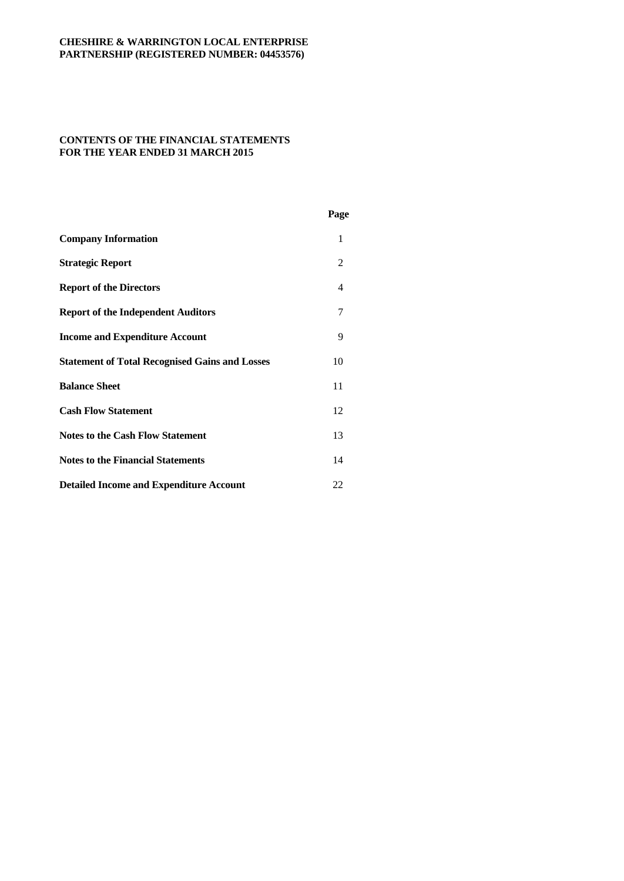# **CONTENTS OF THE FINANCIAL STATEMENTS FOR THE YEAR ENDED 31 MARCH 2015**

|                                                       | Page           |  |
|-------------------------------------------------------|----------------|--|
| <b>Company Information</b>                            | 1              |  |
| <b>Strategic Report</b>                               | 2              |  |
| <b>Report of the Directors</b>                        | $\overline{4}$ |  |
| <b>Report of the Independent Auditors</b>             | 7              |  |
| <b>Income and Expenditure Account</b>                 | 9              |  |
| <b>Statement of Total Recognised Gains and Losses</b> | 10             |  |
| <b>Balance Sheet</b>                                  | 11             |  |
| <b>Cash Flow Statement</b>                            | 12             |  |
| <b>Notes to the Cash Flow Statement</b>               | 13             |  |
| <b>Notes to the Financial Statements</b>              | 14             |  |
| <b>Detailed Income and Expenditure Account</b>        | 22             |  |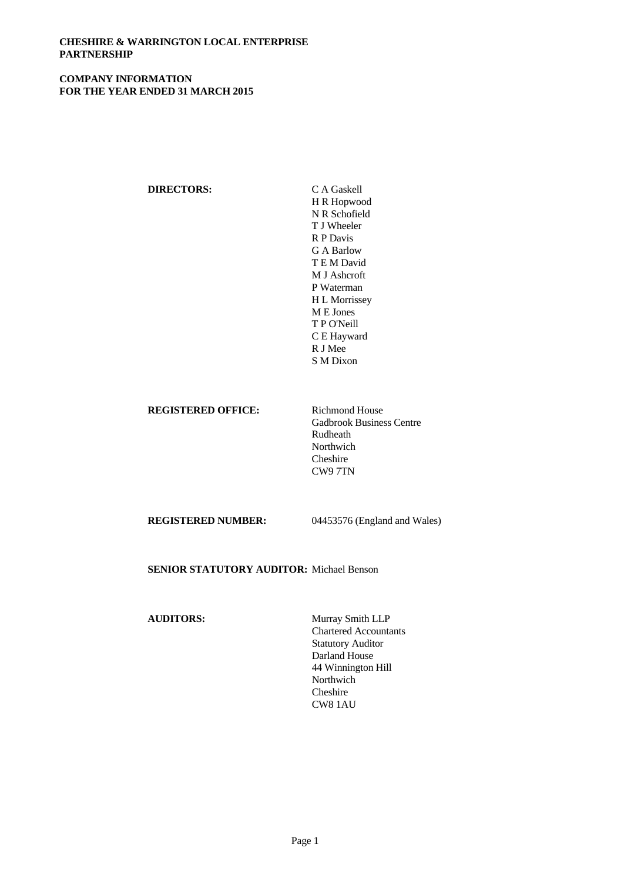## **CHESHIRE & WARRINGTON LOCAL ENTERPRISE PARTNERSHIP**

### **COMPANY INFORMATION FOR THE YEAR ENDED 31 MARCH 2015**

# **DIRECTORS:** C A Gaskell

H R Hopwood N R Schofield T J Wheeler R P Davis G A Barlow T E M David M J Ashcroft P Waterman H L Morrissey M E Jones T P O'Neill C E Hayward R J Mee S M Dixon

### **REGISTERED OFFICE:** Richmond House

Gadbrook Business Centre Rudheath Northwich Cheshire CW9 7TN

**REGISTERED NUMBER:** 04453576 (England and Wales)

**SENIOR STATUTORY AUDITOR:** Michael Benson

# **AUDITORS:** Murray Smith LLP

Chartered Accountants Statutory Auditor Darland House 44 Winnington Hill Northwich Cheshire CW8 1AU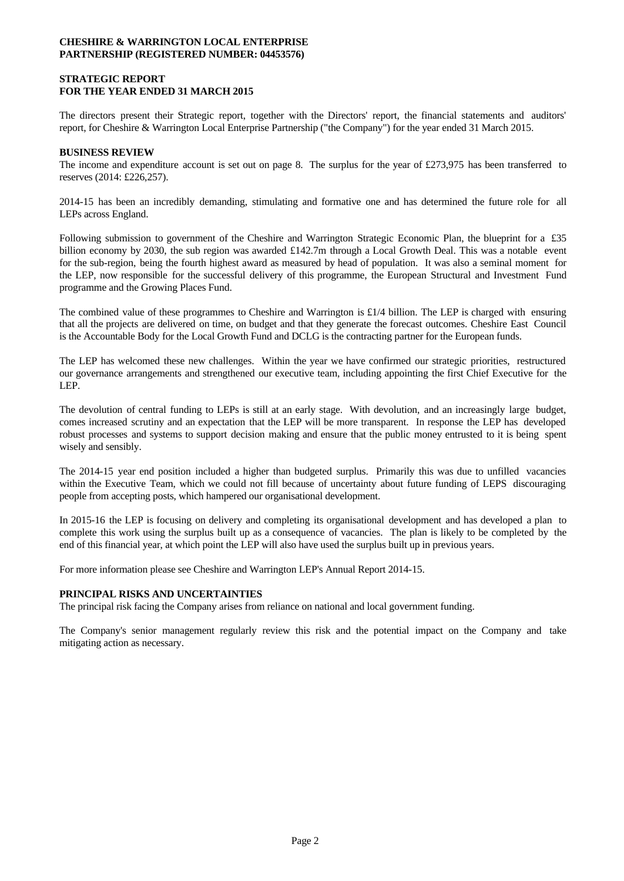### **STRATEGIC REPORT FOR THE YEAR ENDED 31 MARCH 2015**

The directors present their Strategic report, together with the Directors' report, the financial statements and auditors' report, for Cheshire & Warrington Local Enterprise Partnership ("the Company") for the year ended 31 March 2015.

### **BUSINESS REVIEW**

The income and expenditure account is set out on page 8. The surplus for the year of £273,975 has been transferred to reserves (2014: £226,257).

2014-15 has been an incredibly demanding, stimulating and formative one and has determined the future role for all LEPs across England.

Following submission to government of the Cheshire and Warrington Strategic Economic Plan, the blueprint for a £35 billion economy by 2030, the sub region was awarded £142.7m through a Local Growth Deal. This was a notable event for the sub-region, being the fourth highest award as measured by head of population. It was also a seminal moment for the LEP, now responsible for the successful delivery of this programme, the European Structural and Investment Fund programme and the Growing Places Fund.

The combined value of these programmes to Cheshire and Warrington is £1/4 billion. The LEP is charged with ensuring that all the projects are delivered on time, on budget and that they generate the forecast outcomes. Cheshire East Council is the Accountable Body for the Local Growth Fund and DCLG is the contracting partner for the European funds.

The LEP has welcomed these new challenges. Within the year we have confirmed our strategic priorities, restructured our governance arrangements and strengthened our executive team, including appointing the first Chief Executive for the LEP.

The devolution of central funding to LEPs is still at an early stage. With devolution, and an increasingly large budget, comes increased scrutiny and an expectation that the LEP will be more transparent. In response the LEP has developed robust processes and systems to support decision making and ensure that the public money entrusted to it is being spent wisely and sensibly.

The 2014-15 year end position included a higher than budgeted surplus. Primarily this was due to unfilled vacancies within the Executive Team, which we could not fill because of uncertainty about future funding of LEPS discouraging people from accepting posts, which hampered our organisational development.

In 2015-16 the LEP is focusing on delivery and completing its organisational development and has developed a plan to complete this work using the surplus built up as a consequence of vacancies. The plan is likely to be completed by the end of this financial year, at which point the LEP will also have used the surplus built up in previous years.

For more information please see Cheshire and Warrington LEP's Annual Report 2014-15.

### **PRINCIPAL RISKS AND UNCERTAINTIES**

The principal risk facing the Company arises from reliance on national and local government funding.

The Company's senior management regularly review this risk and the potential impact on the Company and take mitigating action as necessary.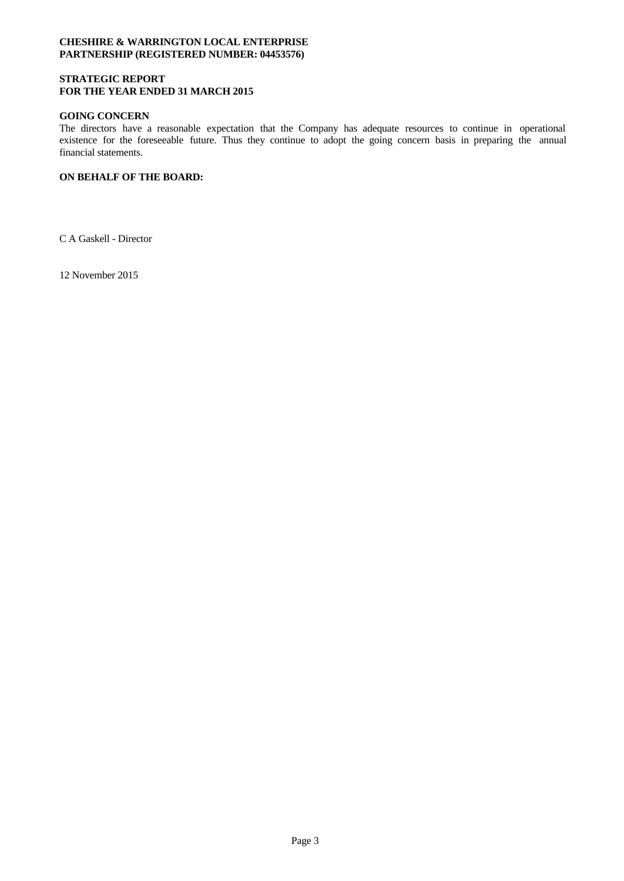### **STRATEGIC REPORT FOR THE YEAR ENDED 31 MARCH 2015**

### **GOING CONCERN**

The directors have a reasonable expectation that the Company has adequate resources to continue in operational existence for the foreseeable future. Thus they continue to adopt the going concern basis in preparing the annual financial statements.

## **ON BEHALF OF THE BOARD:**

C A Gaskell - Director

12 November 2015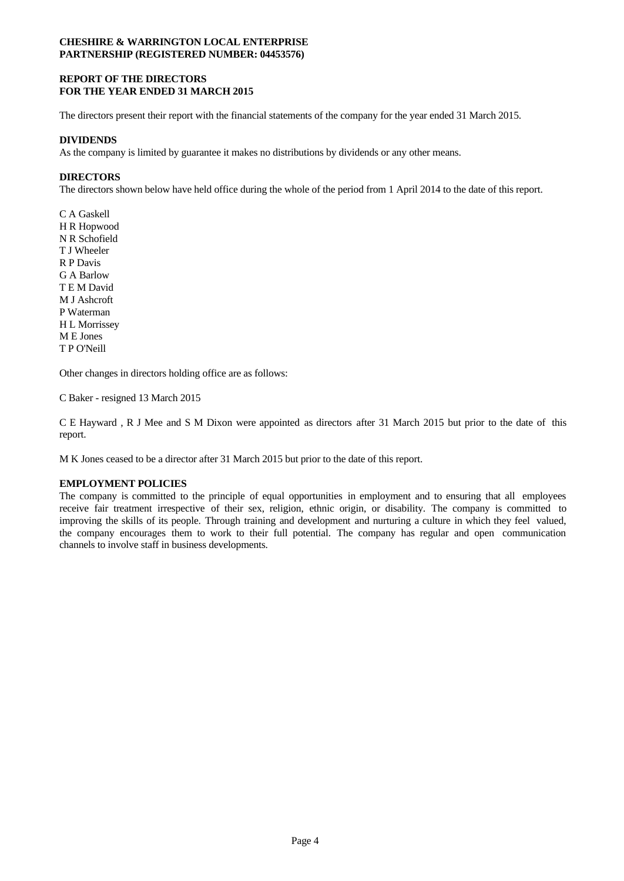### **REPORT OF THE DIRECTORS FOR THE YEAR ENDED 31 MARCH 2015**

The directors present their report with the financial statements of the company for the year ended 31 March 2015.

### **DIVIDENDS**

As the company is limited by guarantee it makes no distributions by dividends or any other means.

## **DIRECTORS**

The directors shown below have held office during the whole of the period from 1 April 2014 to the date of this report.

C A Gaskell H R Hopwood N R Schofield T J Wheeler R P Davis G A Barlow T E M David M J Ashcroft P Waterman H L Morrissey M E Jones T P O'Neill

Other changes in directors holding office are as follows:

C Baker - resigned 13 March 2015

C E Hayward , R J Mee and S M Dixon were appointed as directors after 31 March 2015 but prior to the date of this report.

M K Jones ceased to be a director after 31 March 2015 but prior to the date of this report.

### **EMPLOYMENT POLICIES**

The company is committed to the principle of equal opportunities in employment and to ensuring that all employees receive fair treatment irrespective of their sex, religion, ethnic origin, or disability. The company is committed to improving the skills of its people. Through training and development and nurturing a culture in which they feel valued, the company encourages them to work to their full potential. The company has regular and open communication channels to involve staff in business developments.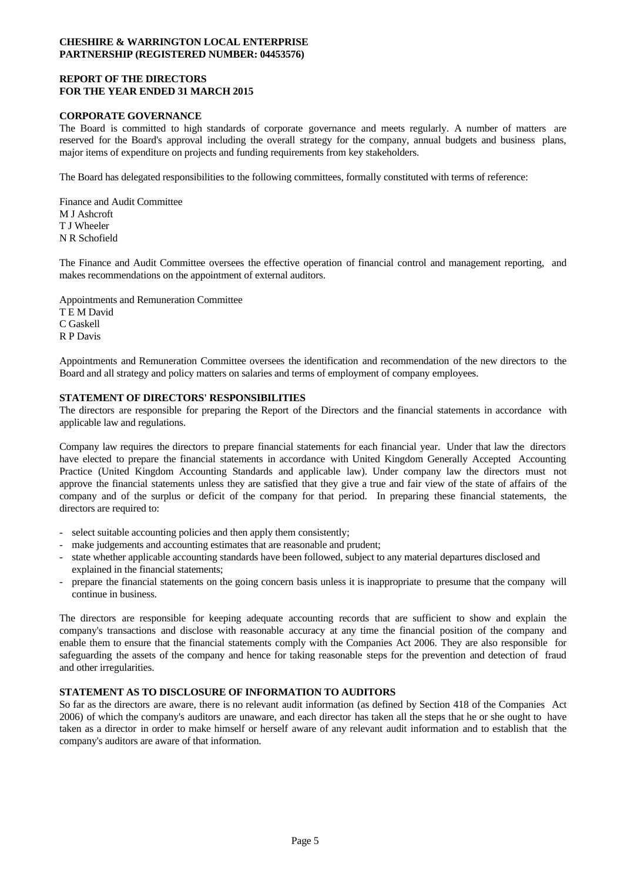### **REPORT OF THE DIRECTORS FOR THE YEAR ENDED 31 MARCH 2015**

### **CORPORATE GOVERNANCE**

The Board is committed to high standards of corporate governance and meets regularly. A number of matters are reserved for the Board's approval including the overall strategy for the company, annual budgets and business plans, major items of expenditure on projects and funding requirements from key stakeholders.

The Board has delegated responsibilities to the following committees, formally constituted with terms of reference:

Finance and Audit Committee M J Ashcroft T J Wheeler N R Schofield

The Finance and Audit Committee oversees the effective operation of financial control and management reporting, and makes recommendations on the appointment of external auditors.

Appointments and Remuneration Committee T E M David C Gaskell R P Davis

Appointments and Remuneration Committee oversees the identification and recommendation of the new directors to the Board and all strategy and policy matters on salaries and terms of employment of company employees.

### **STATEMENT OF DIRECTORS' RESPONSIBILITIES**

The directors are responsible for preparing the Report of the Directors and the financial statements in accordance with applicable law and regulations.

Company law requires the directors to prepare financial statements for each financial year. Under that law the directors have elected to prepare the financial statements in accordance with United Kingdom Generally Accepted Accounting Practice (United Kingdom Accounting Standards and applicable law). Under company law the directors must not approve the financial statements unless they are satisfied that they give a true and fair view of the state of affairs of the company and of the surplus or deficit of the company for that period. In preparing these financial statements, the

- 
- 
- directors are required to:<br>
select suitable accounting policies and then apply them consistently;<br>
make judgements and accounting estimates that are reasonable and prudent;<br>
state whether applicable accounting standa explained in the financial statements;<br>prepare the financial statements on the going concern basis unless it is inappropriate to presume that the company will
- continue in business.

The directors are responsible for keeping adequate accounting records that are sufficient to show and explain the company's transactions and disclose with reasonable accuracy at any time the financial position of the company and enable them to ensure that the financial statements comply with the Companies Act 2006. They are also responsible for safeguarding the assets of the company and hence for taking reasonable steps for the prevention and detection of fraud and other irregularities.

# **STATEMENT AS TO DISCLOSURE OF INFORMATION TO AUDITORS**

So far as the directors are aware, there is no relevant audit information (as defined by Section 418 of the Companies Act 2006) of which the company's auditors are unaware, and each director has taken all the steps that he or she ought to have taken as a director in order to make himself or herself aware of any relevant audit information and to establish that the company's auditors are aware of that information.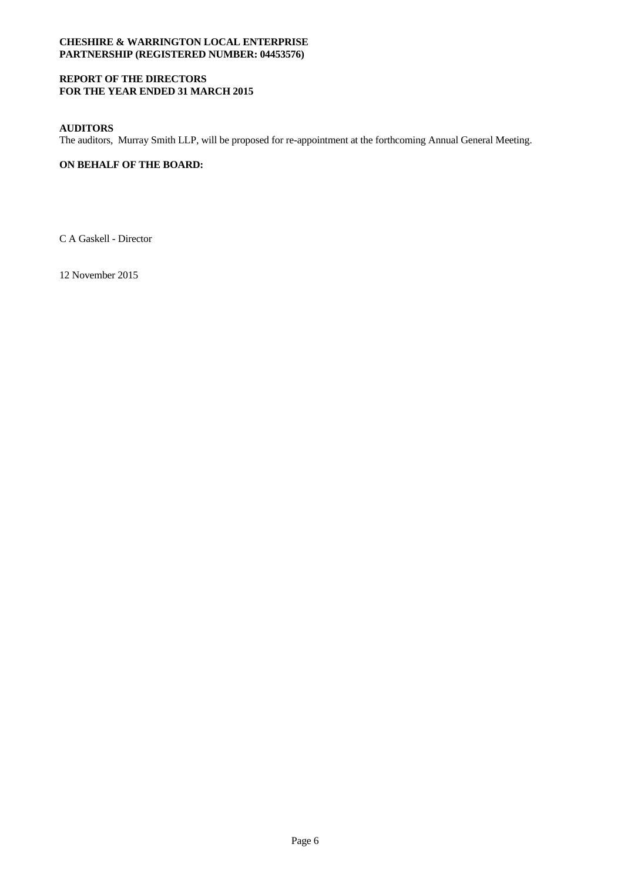## **REPORT OF THE DIRECTORS FOR THE YEAR ENDED 31 MARCH 2015**

## **AUDITORS**

The auditors, Murray Smith LLP, will be proposed for re-appointment at the forthcoming Annual General Meeting.

# **ON BEHALF OF THE BOARD:**

C A Gaskell - Director

12 November 2015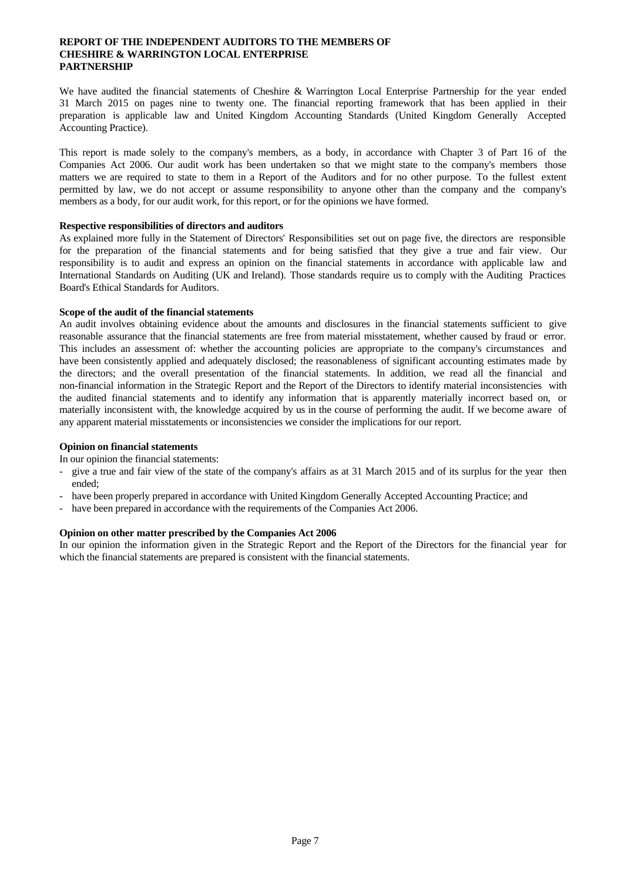#### **REPORT OF THE INDEPENDENT AUDITORS TO THE MEMBERS OF CHESHIRE & WARRINGTON LOCAL ENTERPRISE PARTNERSHIP**

We have audited the financial statements of Cheshire & Warrington Local Enterprise Partnership for the year ended 31 March 2015 on pages nine to twenty one. The financial reporting framework that has been applied in their preparation is applicable law and United Kingdom Accounting Standards (United Kingdom Generally Accepted Accounting Practice).

This report is made solely to the company's members, as a body, in accordance with Chapter 3 of Part 16 of the Companies Act 2006. Our audit work has been undertaken so that we might state to the company's members those matters we are required to state to them in a Report of the Auditors and for no other purpose. To the fullest extent permitted by law, we do not accept or assume responsibility to anyone other than the company and the company's members as a body, for our audit work, for this report, or for the opinions we have formed.

#### **Respective responsibilities of directors and auditors**

As explained more fully in the Statement of Directors' Responsibilities set out on page five, the directors are responsible for the preparation of the financial statements and for being satisfied that they give a true and fair view. Our responsibility is to audit and express an opinion on the financial statements in accordance with applicable law and International Standards on Auditing (UK and Ireland). Those standards require us to comply with the Auditing Practices Board's Ethical Standards for Auditors.

#### **Scope of the audit of the financial statements**

An audit involves obtaining evidence about the amounts and disclosures in the financial statements sufficient to give reasonable assurance that the financial statements are free from material misstatement, whether caused by fraud or error. This includes an assessment of: whether the accounting policies are appropriate to the company's circumstances and have been consistently applied and adequately disclosed; the reasonableness of significant accounting estimates made by the directors; and the overall presentation of the financial statements. In addition, we read all the financial and non-financial information in the Strategic Report and the Report of the Directors to identify material inconsistencies with the audited financial statements and to identify any information that is apparently materially incorrect based on, or materially inconsistent with, the knowledge acquired by us in the course of performing the audit. If we become aware of any apparent material misstatements or inconsistencies we consider the implications for our report.

### **Opinion on financial statements**

- In our opinion the financial statements:<br>- give a true and fair view of the state of the company's affairs as at 31 March 2015 and of its surplus for the year then
- ended;<br>- have been properly prepared in accordance with United Kingdom Generally Accepted Accounting Practice; and<br>- have been prepared in accordance with the requirements of the Companies Act 2006.
- 

### **Opinion on other matter prescribed by the Companies Act 2006**

In our opinion the information given in the Strategic Report and the Report of the Directors for the financial year for which the financial statements are prepared is consistent with the financial statements.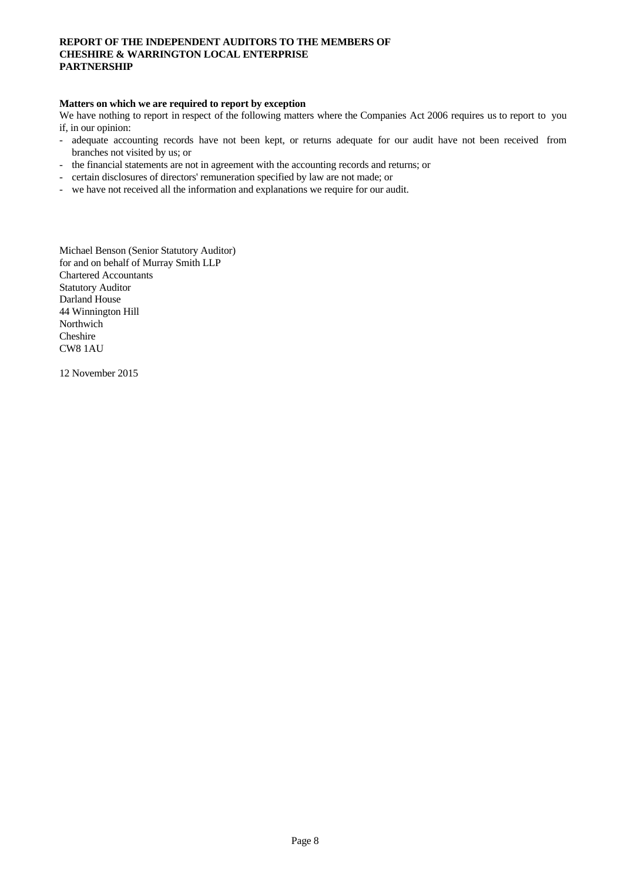### **REPORT OF THE INDEPENDENT AUDITORS TO THE MEMBERS OF CHESHIRE & WARRINGTON LOCAL ENTERPRISE PARTNERSHIP**

#### **Matters on which we are required to report by exception**

We have nothing to report in respect of the following matters where the Companies Act 2006 requires us to report to you

- if, in our opinion:<br>- adequate accounting records have not been kept, or returns adequate for our audit have not been received from
- branches not visited by us; or<br>the financial statements are not in agreement with the accounting records and returns; or<br>ertain disclosures of directors' remuneration specified by law are not made; or<br>we have not received
- 
- 

Michael Benson (Senior Statutory Auditor) for and on behalf of Murray Smith LLP Chartered Accountants Statutory Auditor Darland House 44 Winnington Hill Northwich Cheshire CW8 1AU

12 November 2015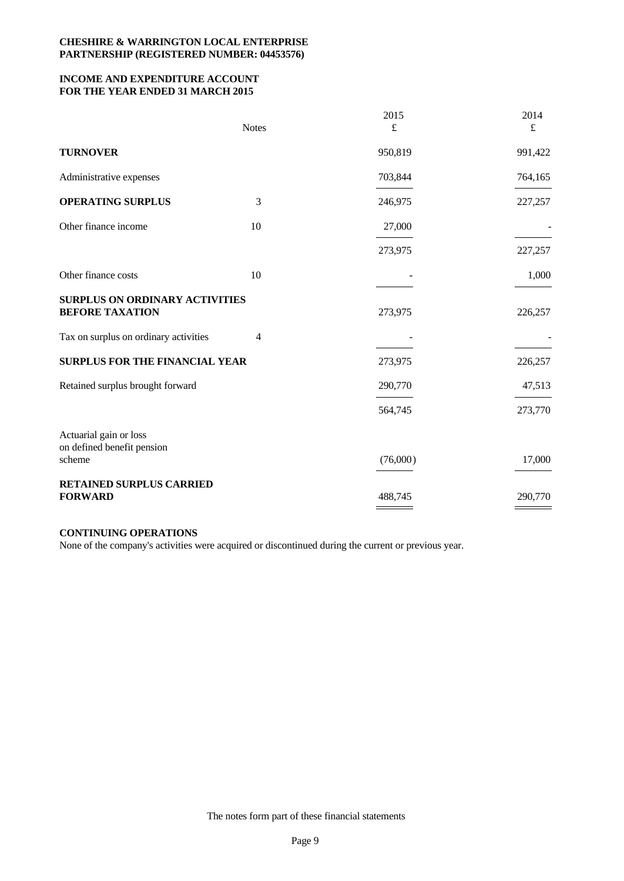## **INCOME AND EXPENDITURE ACCOUNT FOR THE YEAR ENDED 31 MARCH 2015**

|                                                                 | <b>Notes</b> | 2015<br>£ | 2014<br>£ |
|-----------------------------------------------------------------|--------------|-----------|-----------|
| <b>TURNOVER</b>                                                 |              | 950,819   | 991,422   |
| Administrative expenses                                         |              | 703,844   | 764,165   |
| <b>OPERATING SURPLUS</b>                                        | 3            | 246,975   | 227,257   |
| Other finance income                                            | 10           | 27,000    |           |
|                                                                 |              | 273,975   | 227,257   |
| Other finance costs                                             | 10           |           | 1,000     |
| <b>SURPLUS ON ORDINARY ACTIVITIES</b><br><b>BEFORE TAXATION</b> |              | 273,975   | 226,257   |
| Tax on surplus on ordinary activities                           | 4            |           |           |
| SURPLUS FOR THE FINANCIAL YEAR                                  |              | 273,975   | 226,257   |
| Retained surplus brought forward                                |              | 290,770   | 47,513    |
|                                                                 |              | 564,745   | 273,770   |
| Actuarial gain or loss<br>on defined benefit pension            |              |           |           |
| scheme                                                          |              | (76,000)  | 17,000    |
| RETAINED SURPLUS CARRIED<br><b>FORWARD</b>                      |              | 488,745   | 290,770   |

### **CONTINUING OPERATIONS**

None of the company's activities were acquired or discontinued during the current or previous year.

The notes form part of these financial statements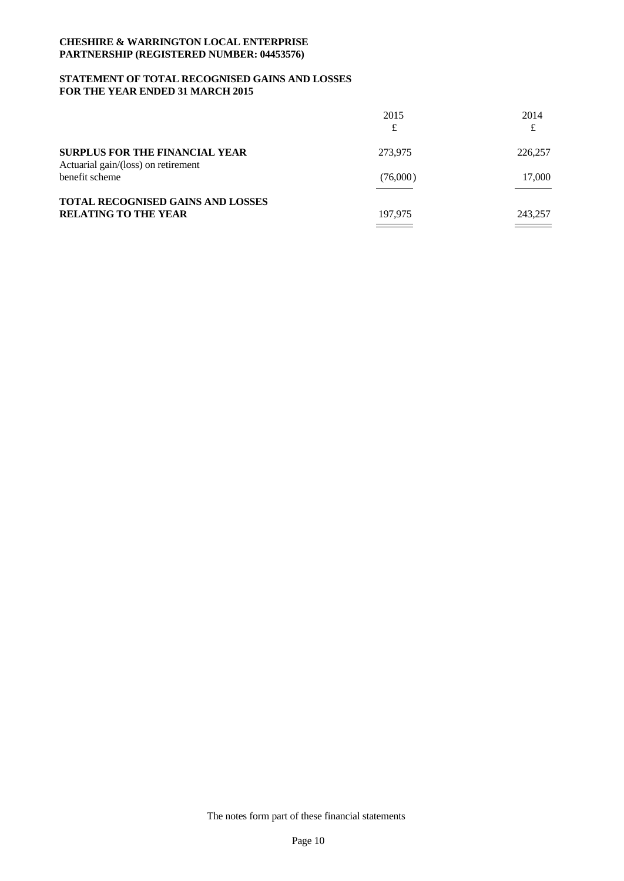### **STATEMENT OF TOTAL RECOGNISED GAINS AND LOSSES FOR THE YEAR ENDED 31 MARCH 2015**

|                                                                              | 2015<br>£         | 2014<br>£        |
|------------------------------------------------------------------------------|-------------------|------------------|
| <b>SURPLUS FOR THE FINANCIAL YEAR</b><br>Actuarial gain/(loss) on retirement | 273,975           | 226,257          |
| benefit scheme                                                               | (76,000)          | 17,000           |
| TOTAL RECOGNISED GAINS AND LOSSES<br><b>RELATING TO THE YEAR</b>             | 197,975<br>______ | 243,257<br>_____ |

The notes form part of these financial statements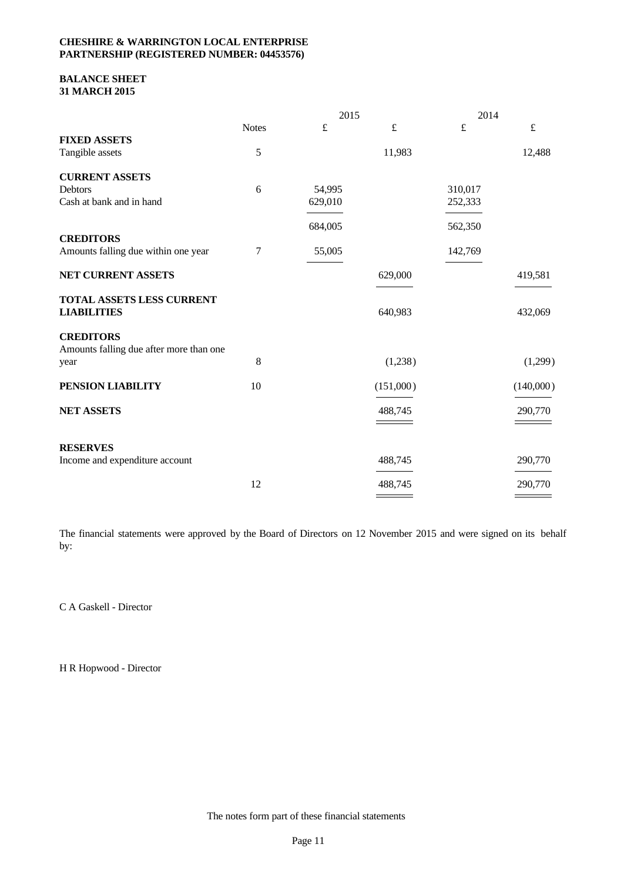### **BALANCE SHEET 31 MARCH 2015**

|                                                 |              | 2015      |           | 2014      |           |  |
|-------------------------------------------------|--------------|-----------|-----------|-----------|-----------|--|
|                                                 | <b>Notes</b> | $\pounds$ | $\pounds$ | $\pounds$ | $\pounds$ |  |
| <b>FIXED ASSETS</b>                             |              |           |           |           |           |  |
| Tangible assets                                 | 5            |           | 11,983    |           | 12,488    |  |
| <b>CURRENT ASSETS</b>                           |              |           |           |           |           |  |
| <b>Debtors</b>                                  | 6            | 54,995    |           | 310,017   |           |  |
| Cash at bank and in hand                        |              | 629,010   |           | 252,333   |           |  |
|                                                 |              | 684,005   |           | 562,350   |           |  |
| <b>CREDITORS</b>                                |              |           |           |           |           |  |
| Amounts falling due within one year             | 7            | 55,005    |           | 142,769   |           |  |
| NET CURRENT ASSETS                              |              |           | 629,000   |           | 419,581   |  |
| TOTAL ASSETS LESS CURRENT<br><b>LIABILITIES</b> |              |           | 640,983   |           | 432,069   |  |
| <b>CREDITORS</b>                                |              |           |           |           |           |  |
| Amounts falling due after more than one         |              |           |           |           |           |  |
| year                                            | $\,8\,$      |           | (1,238)   |           | (1,299)   |  |
| PENSION LIABILITY                               | 10           |           | (151,000) |           | (140,000) |  |
| NET ASSETS                                      |              |           | 488,745   |           | 290,770   |  |
|                                                 |              |           |           |           |           |  |
| <b>RESERVES</b>                                 |              |           |           |           |           |  |
| Income and expenditure account                  |              |           | 488,745   |           | 290,770   |  |
|                                                 | 12           |           | 488,745   |           | 290,770   |  |
|                                                 |              |           |           |           |           |  |

The financial statements were approved by the Board of Directors on 12 November 2015 and were signed on its behalf by:

C A Gaskell - Director

H R Hopwood - Director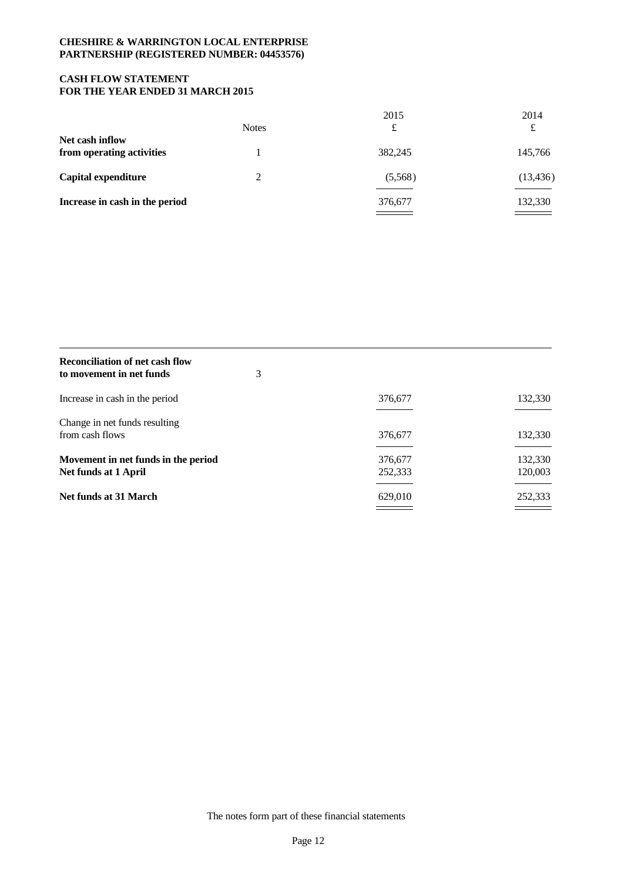## **CASH FLOW STATEMENT FOR THE YEAR ENDED 31 MARCH 2015**

|                                |              | 2015    | 2014                                       |  |
|--------------------------------|--------------|---------|--------------------------------------------|--|
|                                | <b>Notes</b> | £       | £                                          |  |
| Net cash inflow                |              |         |                                            |  |
| from operating activities      |              | 382,245 | 145,766                                    |  |
| Capital expenditure            |              | (5,568) | (13, 436)                                  |  |
| Increase in cash in the period |              | 376,677 | 132,330                                    |  |
|                                |              |         | $\qquad \qquad \overbrace{\qquad \qquad }$ |  |

| <b>Reconciliation of net cash flow</b><br>to movement in net funds | 3 |                    |                    |
|--------------------------------------------------------------------|---|--------------------|--------------------|
| Increase in cash in the period                                     |   | 376,677            | 132,330            |
| Change in net funds resulting<br>from cash flows                   |   | 376,677            | 132,330            |
| Movement in net funds in the period<br>Net funds at 1 April        |   | 376,677<br>252,333 | 132,330<br>120,003 |
| Net funds at 31 March                                              |   | 629,010            | 252,333            |

The notes form part of these financial statements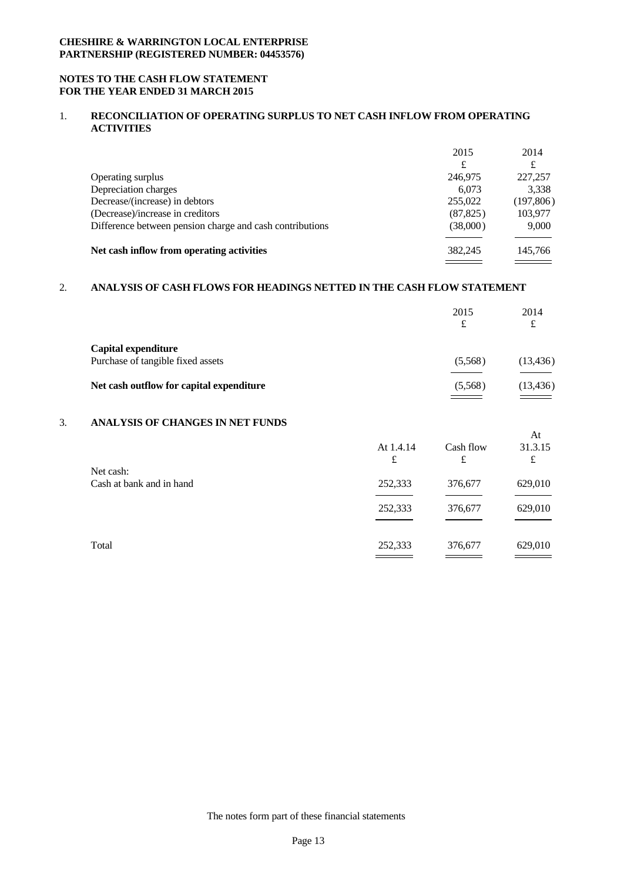### **NOTES TO THE CASH FLOW STATEMENT FOR THE YEAR ENDED 31 MARCH 2015**

### 1. **RECONCILIATION OF OPERATING SURPLUS TO NET CASH INFLOW FROM OPERATING ACTIVITIES**

|                                                          | 2015      | 2014       |  |
|----------------------------------------------------------|-----------|------------|--|
|                                                          | £         | £          |  |
| Operating surplus                                        | 246,975   | 227,257    |  |
| Depreciation charges                                     | 6.073     | 3,338      |  |
| Decrease/(increase) in debtors                           | 255,022   | (197, 806) |  |
| (Decrease)/increase in creditors                         | (87, 825) | 103.977    |  |
| Difference between pension charge and cash contributions | (38,000)  | 9,000      |  |
|                                                          |           |            |  |
| Net cash inflow from operating activities                | 382,245   | 145,766    |  |
|                                                          |           |            |  |

# 2. **ANALYSIS OF CASH FLOWS FOR HEADINGS NETTED IN THE CASH FLOW STATEMENT**

|                                                          | 2015<br>£ | 2014<br>£          |  |
|----------------------------------------------------------|-----------|--------------------|--|
| Capital expenditure<br>Purchase of tangible fixed assets | (5,568)   | (13, 436)          |  |
| Net cash outflow for capital expenditure                 | (5,568)   | (13, 436)<br>_____ |  |

## 3. **ANALYSIS OF CHANGES IN NET FUNDS**

|                          |                                            |           | At      |  |
|--------------------------|--------------------------------------------|-----------|---------|--|
|                          | At 1.4.14                                  | Cash flow | 31.3.15 |  |
|                          | £                                          | £         | £       |  |
| Net cash:                |                                            |           |         |  |
| Cash at bank and in hand | 252,333                                    | 376,677   | 629,010 |  |
|                          |                                            |           |         |  |
|                          | 252,333                                    | 376,677   | 629,010 |  |
|                          |                                            |           |         |  |
|                          |                                            |           |         |  |
| Total                    | 252,333                                    | 376,677   | 629,010 |  |
|                          | <b>Contract Contract Contract Contract</b> |           | ______  |  |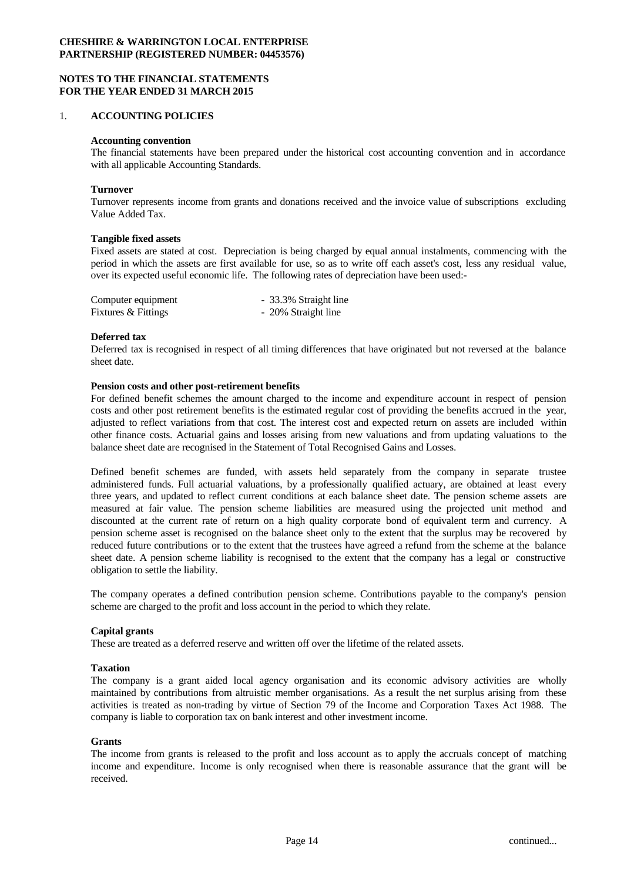### **NOTES TO THE FINANCIAL STATEMENTS FOR THE YEAR ENDED 31 MARCH 2015**

#### 1. **ACCOUNTING POLICIES**

#### **Accounting convention**

The financial statements have been prepared under the historical cost accounting convention and in accordance with all applicable Accounting Standards.

#### **Turnover**

Turnover represents income from grants and donations received and the invoice value of subscriptions excluding Value Added Tax.

#### **Tangible fixed assets**

Fixed assets are stated at cost. Depreciation is being charged by equal annual instalments, commencing with the period in which the assets are first available for use, so as to write off each asset's cost, less any residual value, over its expected useful economic life. The following rates of depreciation have been used:-

| Computer equipment  | - 33.3% Straight line |
|---------------------|-----------------------|
| Fixtures & Fittings | - 20% Straight line   |

#### **Deferred tax**

Deferred tax is recognised in respect of all timing differences that have originated but not reversed at the balance sheet date.

#### **Pension costs and other post-retirement benefits**

For defined benefit schemes the amount charged to the income and expenditure account in respect of pension costs and other post retirement benefits is the estimated regular cost of providing the benefits accrued in the year, adjusted to reflect variations from that cost. The interest cost and expected return on assets are included within other finance costs. Actuarial gains and losses arising from new valuations and from updating valuations to the balance sheet date are recognised in the Statement of Total Recognised Gains and Losses.

Defined benefit schemes are funded, with assets held separately from the company in separate trustee administered funds. Full actuarial valuations, by a professionally qualified actuary, are obtained at least every three years, and updated to reflect current conditions at each balance sheet date. The pension scheme assets are measured at fair value. The pension scheme liabilities are measured using the projected unit method and discounted at the current rate of return on a high quality corporate bond of equivalent term and currency. A pension scheme asset is recognised on the balance sheet only to the extentthat the surplus may be recovered by reduced future contributions or to the extent that the trustees have agreed a refund from the scheme at the balance sheet date. A pension scheme liability is recognised to the extent that the company has a legal or constructive obligation to settle the liability.

The company operates a defined contribution pension scheme. Contributions payable to the company's pension scheme are charged to the profit and loss account in the period to which they relate.

#### **Capital grants**

These are treated as a deferred reserve and written off over the lifetime of the related assets.

#### **Taxation**

The company is a grant aided local agency organisation and its economic advisory activities are wholly maintained by contributions from altruistic member organisations. As a result the net surplus arising from these activities is treated as non-trading by virtue of Section 79 of the Income and Corporation Taxes Act 1988. The company is liable to corporation tax on bank interest and other investment income.

### **Grants**

The income from grants is released to the profit and loss account as to apply the accruals concept of matching income and expenditure. Income is only recognised when there is reasonable assurance that the grant will be received.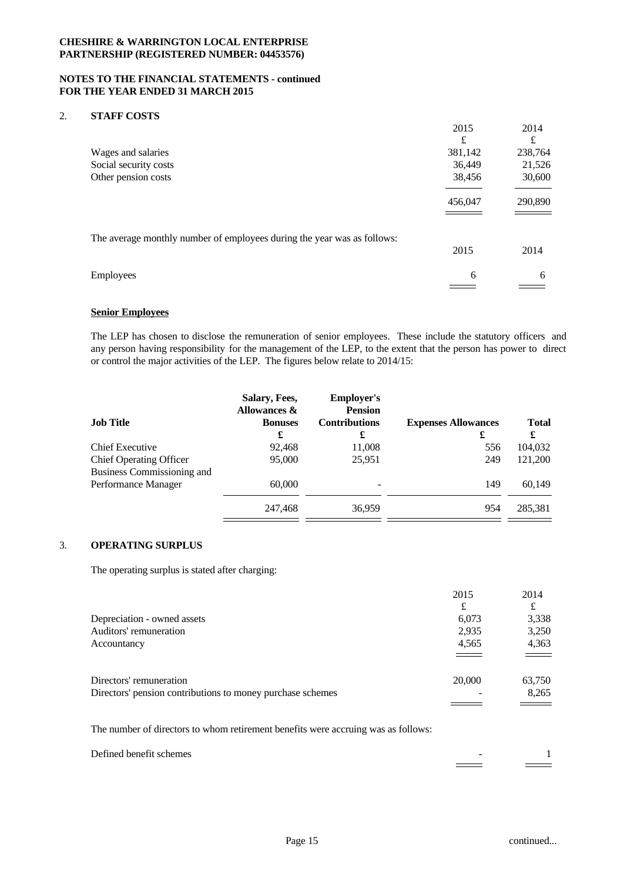#### **NOTES TO THE FINANCIAL STATEMENTS - continued FOR THE YEAR ENDED 31 MARCH 2015**

### 2. **STAFF COSTS**

|                                                                         | 2015<br>£ | 2014<br>£ |  |
|-------------------------------------------------------------------------|-----------|-----------|--|
| Wages and salaries                                                      | 381,142   | 238,764   |  |
| Social security costs                                                   | 36,449    | 21,526    |  |
| Other pension costs                                                     | 38,456    | 30,600    |  |
|                                                                         | 456,047   | 290,890   |  |
| The average monthly number of employees during the year was as follows: | 2015      | 2014      |  |
| Employees                                                               | 6         | 6         |  |
|                                                                         |           |           |  |

## **Senior Employees**

The LEP has chosen to disclose the remuneration of senior employees. These include the statutory officers and any person having responsibility for the management of the LEP, to the extent that the person has power to direct or control the major activities of the LEP. The figures below relate to 2014/15:

| Salary, Fees,<br><b>Allowances &amp;</b> | <b>Employer's</b><br><b>Pension</b> |                                 |                   |
|------------------------------------------|-------------------------------------|---------------------------------|-------------------|
| <b>Bonuses</b><br>£                      | <b>Contributions</b><br>£           | <b>Expenses Allowances</b><br>£ | <b>Total</b><br>£ |
| 92,468                                   | 11,008                              | 556                             | 104,032           |
| 95,000                                   | 25,951                              | 249                             | 121,200           |
| 60,000                                   |                                     | 149                             | 60.149            |
| 247,468                                  | 36,959                              | 954                             | 285,381           |
|                                          |                                     |                                 |                   |

# 3. **OPERATING SURPLUS**

The operating surplus is stated after charging:

|                                                            | 2015                     | 2014                    |  |
|------------------------------------------------------------|--------------------------|-------------------------|--|
|                                                            | £                        | £                       |  |
| Depreciation - owned assets                                | 6,073                    | 3,338                   |  |
| Auditors' remuneration                                     | 2,935                    | 3,250                   |  |
| Accountancy                                                | 4,565                    | 4,363                   |  |
|                                                            | ===                      | $\qquad \qquad =\qquad$ |  |
| Directors' remuneration                                    | 20,000                   | 63,750                  |  |
| Directors' pension contributions to money purchase schemes | $\overline{\phantom{a}}$ | 8,265                   |  |
|                                                            |                          |                         |  |

The number of directors to whom retirement benefits were accruing was as follows:

| Defined<br>benefit schemes<br>. |  |
|---------------------------------|--|
|                                 |  |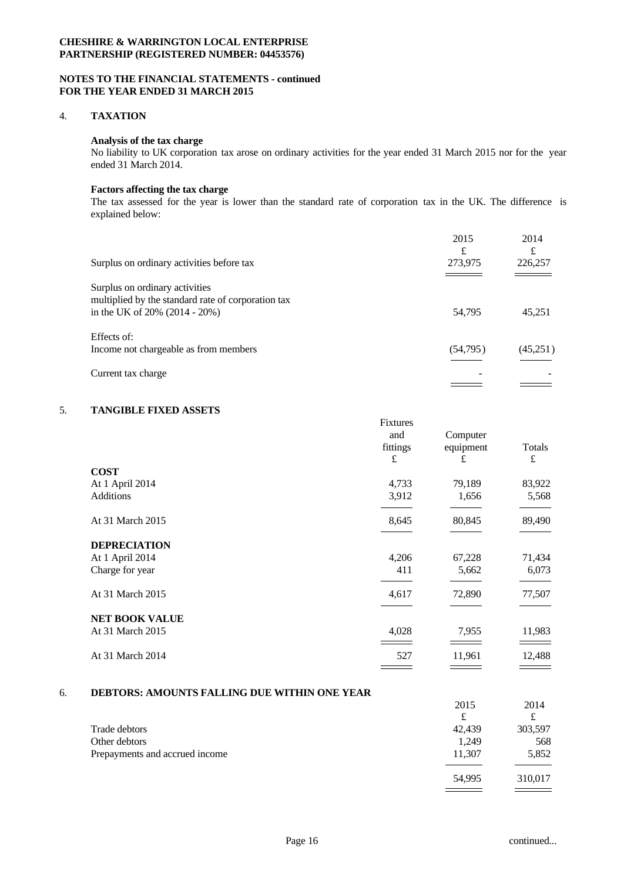### **NOTES TO THE FINANCIAL STATEMENTS - continued FOR THE YEAR ENDED 31 MARCH 2015**

#### 4. **TAXATION**

#### **Analysis of the tax charge**

No liability to UK corporation tax arose on ordinary activities for the year ended 31 March 2015 nor for the year ended 31 March 2014.

### **Factors affecting the tax charge**

The tax assessed for the year is lower than the standard rate of corporation tax in the UK. The difference is explained below:

|                                                                                      | 2015<br>£ | 2014<br>£ |  |
|--------------------------------------------------------------------------------------|-----------|-----------|--|
| Surplus on ordinary activities before tax                                            | 273,975   | 226,257   |  |
| Surplus on ordinary activities<br>multiplied by the standard rate of corporation tax |           |           |  |
| in the UK of $20\%$ (2014 - 20%)                                                     | 54,795    | 45,251    |  |
| Effects of:                                                                          |           |           |  |
| Income not chargeable as from members                                                | (54,795)  | (45,251)  |  |
| Current tax charge                                                                   |           |           |  |
|                                                                                      |           |           |  |

# 5. **TANGIBLE FIXED ASSETS**

|                       | <b>Fixtures</b> |           |           |  |
|-----------------------|-----------------|-----------|-----------|--|
|                       | and             | Computer  |           |  |
|                       | fittings        | equipment | Totals    |  |
|                       | £               | £         | $\pounds$ |  |
| <b>COST</b>           |                 |           |           |  |
| At 1 April 2014       | 4,733           | 79,189    | 83,922    |  |
| Additions             | 3,912           | 1,656     | 5,568     |  |
|                       |                 |           |           |  |
| At 31 March 2015      | 8,645           | 80,845    | 89,490    |  |
|                       |                 |           |           |  |
| <b>DEPRECIATION</b>   |                 |           |           |  |
| At 1 April 2014       | 4,206           | 67,228    | 71,434    |  |
| Charge for year       | 411             | 5,662     | 6,073     |  |
|                       |                 |           |           |  |
| At 31 March 2015      | 4,617           | 72,890    | 77,507    |  |
|                       |                 |           |           |  |
| <b>NET BOOK VALUE</b> |                 |           |           |  |
| At 31 March 2015      | 4,028           | 7,955     | 11,983    |  |
|                       |                 |           |           |  |
| At 31 March 2014      | 527             | 11,961    | 12,488    |  |
|                       |                 |           |           |  |

#### 6. **DEBTORS: AMOUNTS FALLING DUE WITHIN ONE YEAR**

|                                | 2015   | 2014     |  |
|--------------------------------|--------|----------|--|
|                                | £      | $+$<br>s |  |
| Trade debtors                  | 42,439 | 303,597  |  |
| Other debtors                  | 1,249  | 568      |  |
| Prepayments and accrued income | 11,307 | 5,852    |  |
|                                |        |          |  |
|                                | 54,995 | 310,017  |  |
|                                |        |          |  |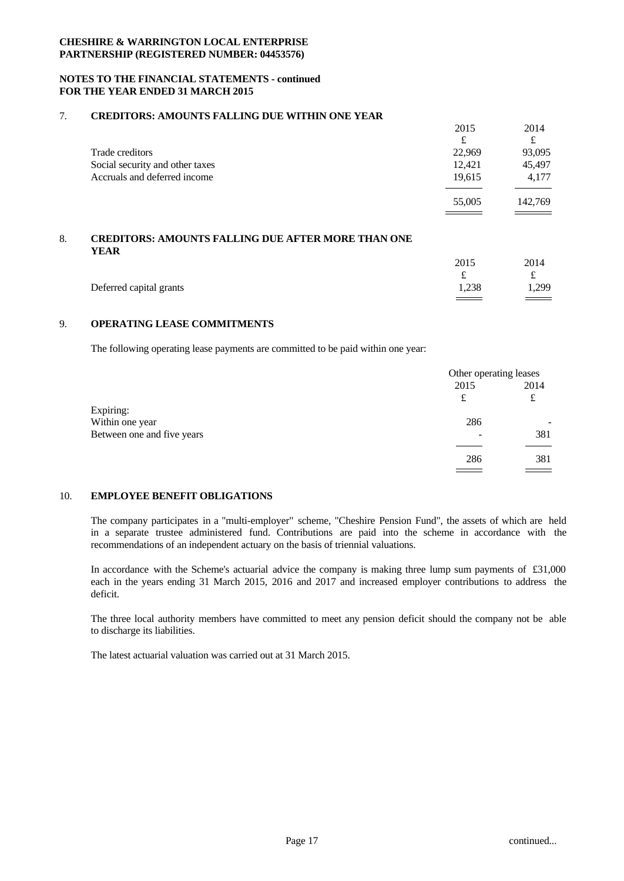### **NOTES TO THE FINANCIAL STATEMENTS - continued FOR THE YEAR ENDED 31 MARCH 2015**

#### 7. **CREDITORS: AMOUNTS FALLING DUE WITHIN ONE YEAR**

|                                 | 2015   | 2014    |  |
|---------------------------------|--------|---------|--|
|                                 | £      | £       |  |
| Trade creditors                 | 22,969 | 93,095  |  |
| Social security and other taxes | 12,421 | 45,497  |  |
| Accruals and deferred income    | 19.615 | 4.177   |  |
|                                 |        |         |  |
|                                 | 55,005 | 142,769 |  |
|                                 |        |         |  |

# 8. **CREDITORS: AMOUNTS FALLING DUE AFTER MORE THAN ONE YEAR**

|                         | 2015       | 2014                                |
|-------------------------|------------|-------------------------------------|
|                         | $\epsilon$ | ىم                                  |
| Deferred capital grants | 1,238      | 1,299                               |
|                         | ==         | $\equiv$ $\equiv$ $\equiv$ $\equiv$ |

# 9. **OPERATING LEASE COMMITMENTS**

The following operating lease payments are committed to be paid within one year:

|                            | Other operating leases |      |  |
|----------------------------|------------------------|------|--|
|                            | 2015                   | 2014 |  |
|                            | £                      | ىم   |  |
| Expiring:                  |                        |      |  |
| Within one year            | 286                    | -    |  |
| Between one and five years | ۰                      | 381  |  |
|                            |                        |      |  |
|                            | 286                    | 381  |  |
|                            |                        |      |  |

### 10. **EMPLOYEE BENEFIT OBLIGATIONS**

The company participates in a "multi-employer" scheme, "Cheshire Pension Fund", the assets of which are held in a separate trustee administered fund. Contributions are paid into the scheme in accordance with the recommendations of an independent actuary on the basis of triennial valuations.

In accordance with the Scheme's actuarial advice the company is making three lump sum payments of  $£31,000$ each in the years ending 31 March 2015, 2016 and 2017 and increased employer contributions to address the deficit.

The three local authority members have committed to meet any pension deficit should the company not be able to discharge its liabilities.

The latest actuarial valuation was carried out at 31 March 2015.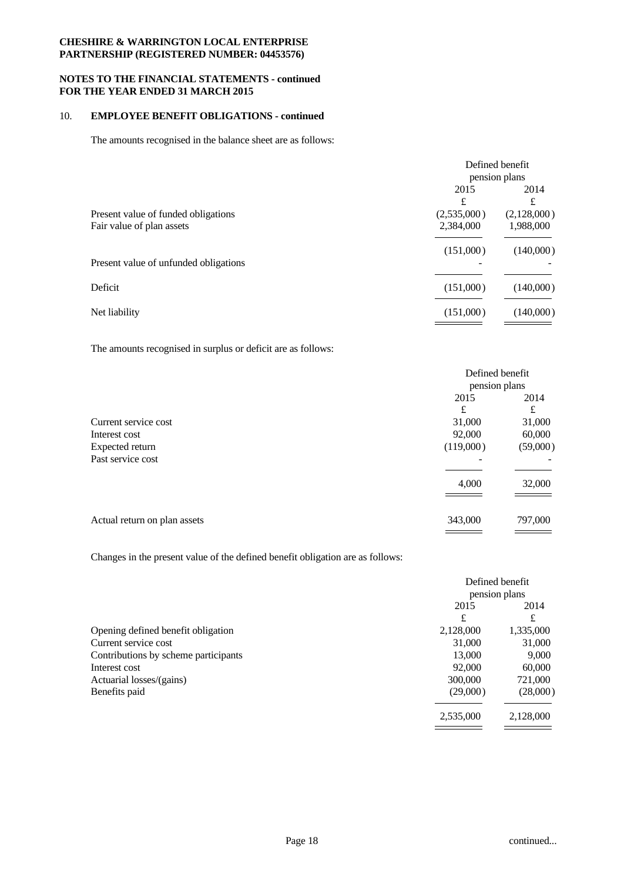### **NOTES TO THE FINANCIAL STATEMENTS - continued FOR THE YEAR ENDED 31 MARCH 2015**

### 10. **EMPLOYEE BENEFIT OBLIGATIONS - continued**

The amounts recognised in the balance sheet are as follows:

|                                       |             | Defined benefit |
|---------------------------------------|-------------|-----------------|
|                                       |             | pension plans   |
|                                       | 2015        | 2014            |
|                                       | £           | £               |
| Present value of funded obligations   | (2,535,000) | (2,128,000)     |
| Fair value of plan assets             | 2,384,000   | 1,988,000       |
|                                       | (151,000)   | (140,000)       |
| Present value of unfunded obligations |             |                 |
| Deficit                               | (151,000)   | (140,000)       |
| Net liability                         | (151,000)   | (140,000)       |
|                                       |             |                 |

The amounts recognised in surplus or deficit are as follows:

|                              | Defined benefit |          |  |
|------------------------------|-----------------|----------|--|
|                              | pension plans   |          |  |
|                              | 2015            | 2014     |  |
|                              | £               | £        |  |
| Current service cost         | 31,000          | 31,000   |  |
| Interest cost                | 92,000          | 60,000   |  |
| Expected return              | (119,000)       | (59,000) |  |
| Past service cost            |                 |          |  |
|                              |                 |          |  |
|                              | 4,000           | 32,000   |  |
|                              |                 |          |  |
|                              |                 |          |  |
| Actual return on plan assets | 343,000         | 797,000  |  |
|                              |                 |          |  |

Changes in the present value of the defined benefit obligation are as follows:

|                                      |           | Defined benefit |
|--------------------------------------|-----------|-----------------|
|                                      |           | pension plans   |
|                                      | 2015      | 2014            |
|                                      | £         | £               |
| Opening defined benefit obligation   | 2,128,000 | 1,335,000       |
| Current service cost                 | 31,000    | 31,000          |
| Contributions by scheme participants | 13,000    | 9,000           |
| Interest cost                        | 92,000    | 60,000          |
| Actuarial losses/(gains)             | 300,000   | 721,000         |
| Benefits paid                        | (29,000)  | (28,000)        |
|                                      | 2,535,000 | 2,128,000       |
|                                      |           |                 |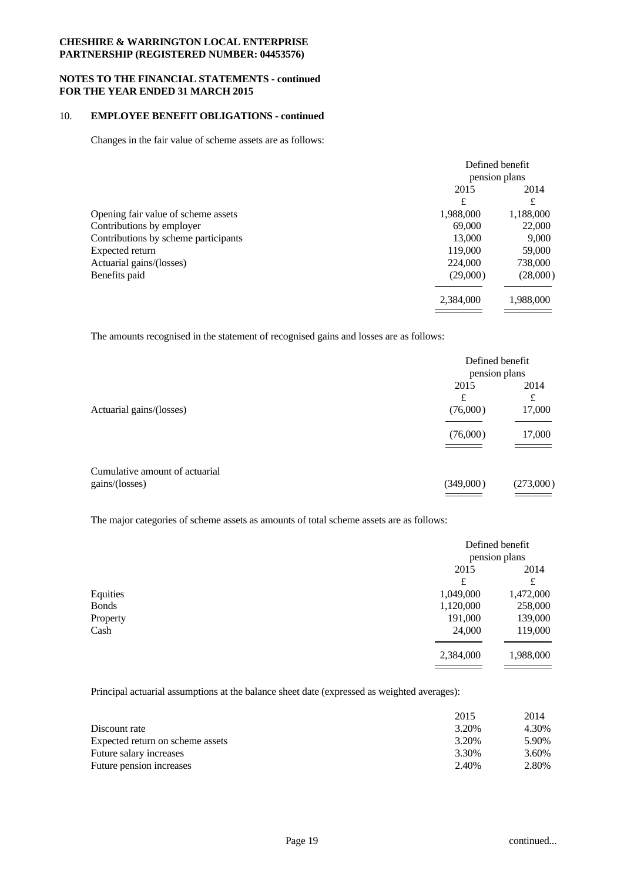#### **NOTES TO THE FINANCIAL STATEMENTS - continued FOR THE YEAR ENDED 31 MARCH 2015**

## 10. **EMPLOYEE BENEFIT OBLIGATIONS - continued**

Changes in the fair value of scheme assets are as follows:

|               | Defined benefit |
|---------------|-----------------|
| pension plans |                 |
| 2015          | 2014            |
| £             | £               |
| 1,988,000     | 1,188,000       |
| 69,000        | 22,000          |
| 13,000        | 9,000           |
| 119,000       | 59,000          |
| 224,000       | 738,000         |
| (29,000)      | (28,000)        |
| 2,384,000     | 1,988,000       |
|               |                 |

The amounts recognised in the statement of recognised gains and losses are as follows:

|                                | Defined benefit<br>pension plans             |                                              |  |
|--------------------------------|----------------------------------------------|----------------------------------------------|--|
|                                | 2015<br>£                                    | 2014<br>£                                    |  |
| Actuarial gains/(losses)       | (76,000)                                     | 17,000                                       |  |
|                                | (76,000)                                     | 17,000                                       |  |
| Cumulative amount of actuarial |                                              |                                              |  |
| gains/(losses)                 | (349,000)                                    | (273,000)                                    |  |
|                                | the control of the control of the control of | the control of the control of the control of |  |

The major categories of scheme assets as amounts of total scheme assets are as follows:

|              | Defined benefit |               |  |  |
|--------------|-----------------|---------------|--|--|
|              |                 | pension plans |  |  |
|              | 2015            | 2014          |  |  |
|              | £               | £             |  |  |
| Equities     | 1,049,000       | 1,472,000     |  |  |
| <b>Bonds</b> | 1,120,000       | 258,000       |  |  |
| Property     | 191,000         | 139,000       |  |  |
| Cash         | 24,000          | 119,000       |  |  |
|              | 2,384,000       | 1,988,000     |  |  |
|              |                 |               |  |  |

Principal actuarial assumptions at the balance sheet date (expressed as weighted averages):

| 2014<br>2015                                       |
|----------------------------------------------------|
| Discount rate<br>3.20%<br>4.30%                    |
| 3.20%<br>Expected return on scheme assets<br>5.90% |
| 3.30%<br>Future salary increases<br>3.60%          |
| 2.80%<br>2.40%<br>Future pension increases         |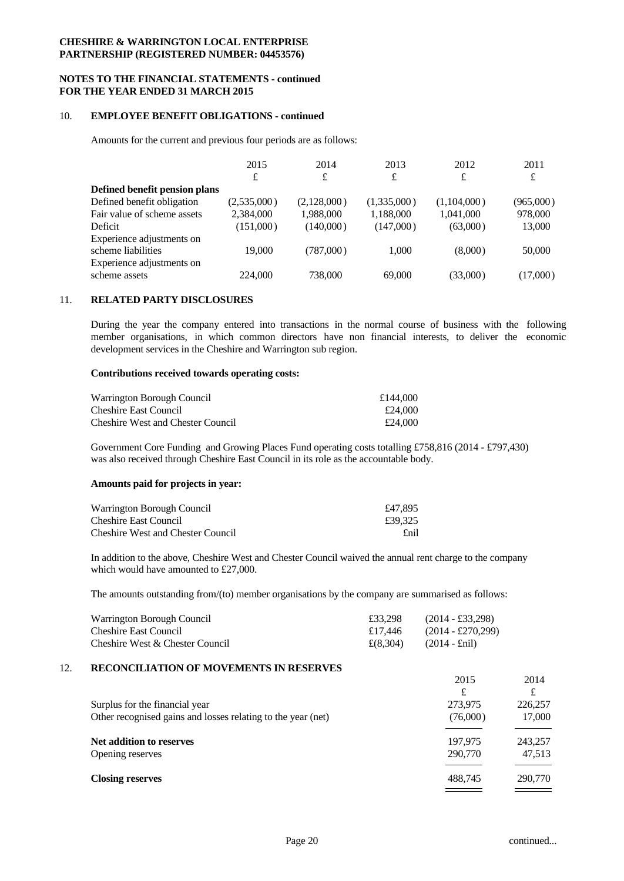### **NOTES TO THE FINANCIAL STATEMENTS - continued FOR THE YEAR ENDED 31 MARCH 2015**

#### 10. **EMPLOYEE BENEFIT OBLIGATIONS - continued**

Amounts for the current and previous four periods are as follows:

|                                                                              | 2015        | 2014        | 2013        | 2012        | 2011      |  |
|------------------------------------------------------------------------------|-------------|-------------|-------------|-------------|-----------|--|
|                                                                              | £           | £           | £           | £           | £         |  |
| Defined benefit pension plans                                                |             |             |             |             |           |  |
| Defined benefit obligation                                                   | (2,535,000) | (2,128,000) | (1,335,000) | (1,104,000) | (965,000) |  |
| Fair value of scheme assets                                                  | 2.384,000   | 1.988.000   | 1,188,000   | 1.041.000   | 978,000   |  |
| Deficit                                                                      | (151,000)   | (140,000)   | (147,000)   | (63,000)    | 13,000    |  |
| Experience adjustments on<br>scheme liabilities<br>Experience adjustments on | 19,000      | (787,000)   | 1.000       | (8,000)     | 50,000    |  |
| scheme assets                                                                | 224,000     | 738,000     | 69,000      | (33,000)    | (17,000)  |  |

#### 11. **RELATED PARTY DISCLOSURES**

During the year the company entered into transactions in the normal course of business with the following member organisations, in which common directors have non financial interests, to deliver the economic development services in the Cheshire and Warrington sub region.

#### **Contributions received towards operating costs:**

| Warrington Borough Council               | £144,000 |
|------------------------------------------|----------|
| Cheshire East Council                    | £24,000  |
| <b>Cheshire West and Chester Council</b> | £24,000  |

Government Core Funding and Growing Places Fund operating costs totalling £758,816 (2014 - £797,430) was also received through Cheshire East Council in its role as the accountable body.

#### **Amounts paid for projects in year:**

| Warrington Borough Council               | £47.895 |
|------------------------------------------|---------|
| <b>Cheshire East Council</b>             | £39.325 |
| <b>Cheshire West and Chester Council</b> | £nil    |

In addition to the above, Cheshire West and Chester Council waived the annual rent charge to the company which would have amounted to £27,000.

The amounts outstanding from/(to) member organisations by the company are summarised as follows:

| Warrington Borough Council      | £33.298                        | $(2014 - \pounds33, 298)$  |
|---------------------------------|--------------------------------|----------------------------|
| <b>Cheshire East Council</b>    | £17.446                        | $(2014 - \pounds270, 299)$ |
| Cheshire West & Chester Council | $\pounds(8.304)$ (2014 - £nil) |                            |

### 12. **RECONCILIATION OF MOVEMENTS IN RESERVES**

|                                                              | 2015     | 2014    |
|--------------------------------------------------------------|----------|---------|
|                                                              | £        | £       |
| Surplus for the financial year                               | 273,975  | 226,257 |
| Other recognised gains and losses relating to the year (net) | (76,000) | 17,000  |
|                                                              |          |         |
| Net addition to reserves                                     | 197,975  | 243,257 |
| Opening reserves                                             | 290,770  | 47,513  |
|                                                              |          |         |
| <b>Closing reserves</b>                                      | 488,745  | 290,770 |
|                                                              |          |         |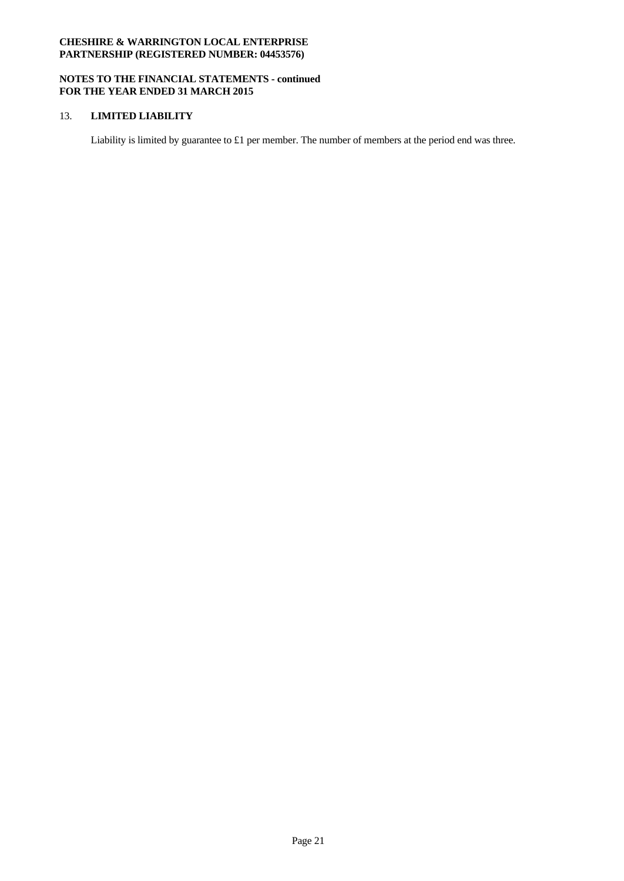### **NOTES TO THE FINANCIAL STATEMENTS - continued FOR THE YEAR ENDED 31 MARCH 2015**

### 13. **LIMITED LIABILITY**

Liability is limited by guarantee to £1 per member. The number of members at the period end was three.